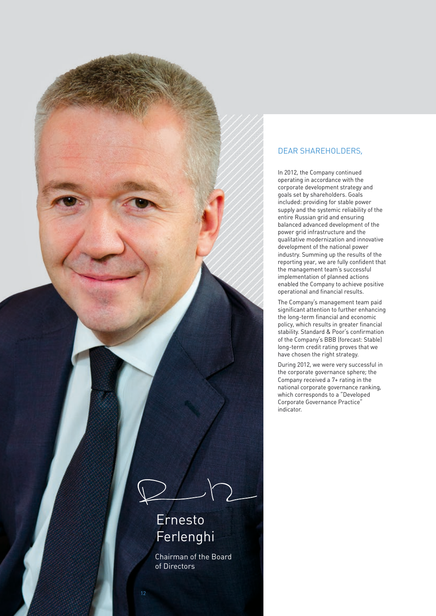

## DEAR SHAREHOLDERS,

In 2012, the Company continued operating in accordance with the corporate development strategy and goals set by shareholders. Goals included: providing for stable power supply and the systemic reliability of the entire Russian grid and ensuring balanced advanced development of the power grid infrastructure and the qualitative modernization and innovative development of the national power industry. Summing up the results of the reporting year, we are fully confident that the management team's successful implementation of planned actions enabled the Company to achieve positive operational and financial results.

The Company's management team paid significant attention to further enhancing the long-term financial and economic policy, which results in greater financial stability. Standard & Poor's confirmation of the Company's BBB (forecast: Stable) long-term credit rating proves that we have chosen the right strategy.

During 2012, we were very successful in the corporate governance sphere; the Company received a 7+ rating in the national corporate governance ranking, which corresponds to a "Developed Corporate Governance Practice" indicator.